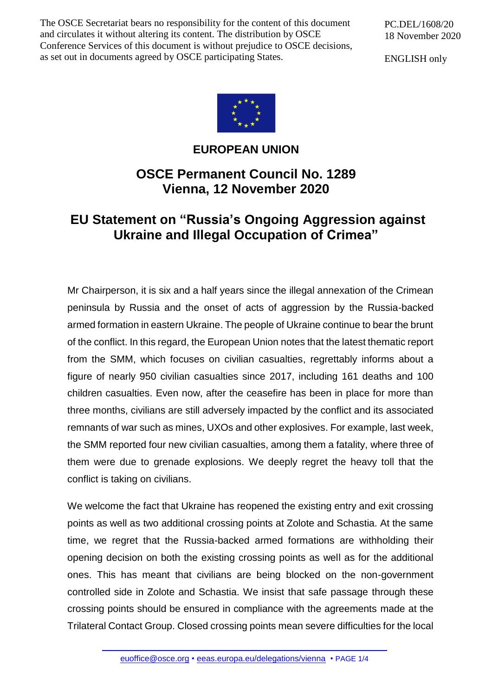The OSCE Secretariat bears no responsibility for the content of this document and circulates it without altering its content. The distribution by OSCE Conference Services of this document is without prejudice to OSCE decisions, as set out in documents agreed by OSCE participating States.

PC.DEL/1608/20 18 November 2020

ENGLISH only



## **EUROPEAN UNION**

## **OSCE Permanent Council No. 1289 Vienna, 12 November 2020**

## **EU Statement on "Russia's Ongoing Aggression against Ukraine and Illegal Occupation of Crimea"**

Mr Chairperson, it is six and a half years since the illegal annexation of the Crimean peninsula by Russia and the onset of acts of aggression by the Russia-backed armed formation in eastern Ukraine. The people of Ukraine continue to bear the brunt of the conflict. In this regard, the European Union notes that the latest thematic report from the SMM, which focuses on civilian casualties, regrettably informs about a figure of nearly 950 civilian casualties since 2017, including 161 deaths and 100 children casualties. Even now, after the ceasefire has been in place for more than three months, civilians are still adversely impacted by the conflict and its associated remnants of war such as mines, UXOs and other explosives. For example, last week, the SMM reported four new civilian casualties, among them a fatality, where three of them were due to grenade explosions. We deeply regret the heavy toll that the conflict is taking on civilians.

We welcome the fact that Ukraine has reopened the existing entry and exit crossing points as well as two additional crossing points at Zolote and Schastia. At the same time, we regret that the Russia-backed armed formations are withholding their opening decision on both the existing crossing points as well as for the additional ones. This has meant that civilians are being blocked on the non-government controlled side in Zolote and Schastia. We insist that safe passage through these crossing points should be ensured in compliance with the agreements made at the Trilateral Contact Group. Closed crossing points mean severe difficulties for the local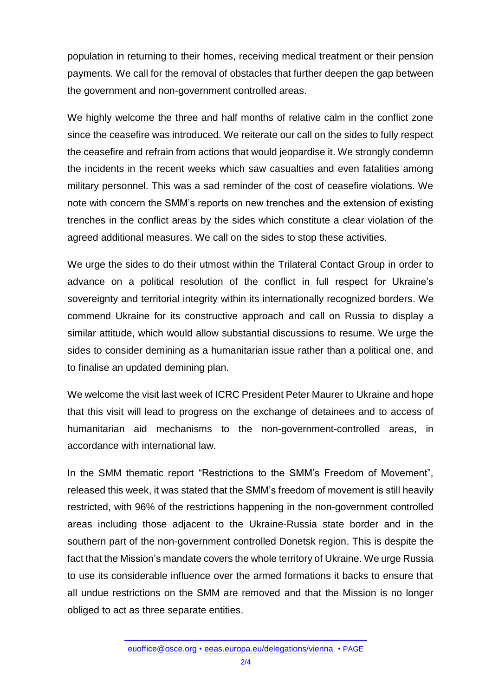population in returning to their homes, receiving medical treatment or their pension payments. We call for the removal of obstacles that further deepen the gap between the government and non-government controlled areas.

We highly welcome the three and half months of relative calm in the conflict zone since the ceasefire was introduced. We reiterate our call on the sides to fully respect the ceasefire and refrain from actions that would jeopardise it. We strongly condemn the incidents in the recent weeks which saw casualties and even fatalities among military personnel. This was a sad reminder of the cost of ceasefire violations. We note with concern the SMM's reports on new trenches and the extension of existing trenches in the conflict areas by the sides which constitute a clear violation of the agreed additional measures. We call on the sides to stop these activities.

We urge the sides to do their utmost within the Trilateral Contact Group in order to advance on a political resolution of the conflict in full respect for Ukraine's sovereignty and territorial integrity within its internationally recognized borders. We commend Ukraine for its constructive approach and call on Russia to display a similar attitude, which would allow substantial discussions to resume. We urge the sides to consider demining as a humanitarian issue rather than a political one, and to finalise an updated demining plan.

We welcome the visit last week of ICRC President Peter Maurer to Ukraine and hope that this visit will lead to progress on the exchange of detainees and to access of humanitarian aid mechanisms to the non-government-controlled areas, in accordance with international law.

In the SMM thematic report "Restrictions to the SMM's Freedom of Movement", released this week, it was stated that the SMM's freedom of movement is still heavily restricted, with 96% of the restrictions happening in the non-government controlled areas including those adjacent to the Ukraine-Russia state border and in the southern part of the non-government controlled Donetsk region. This is despite the fact that the Mission's mandate covers the whole territory of Ukraine. We urge Russia to use its considerable influence over the armed formations it backs to ensure that all undue restrictions on the SMM are removed and that the Mission is no longer obliged to act as three separate entities.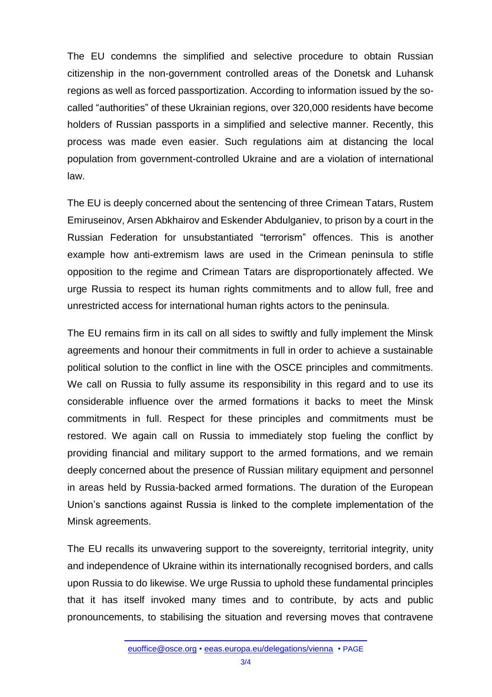The EU condemns the simplified and selective procedure to obtain Russian citizenship in the non-government controlled areas of the Donetsk and Luhansk regions as well as forced passportization. According to information issued by the socalled "authorities" of these Ukrainian regions, over 320,000 residents have become holders of Russian passports in a simplified and selective manner. Recently, this process was made even easier. Such regulations aim at distancing the local population from government-controlled Ukraine and are a violation of international law.

The EU is deeply concerned about the sentencing of three Crimean Tatars, Rustem Emiruseinov, Arsen Abkhairov and Eskender Abdulganiev, to prison by a court in the Russian Federation for unsubstantiated "terrorism" offences. This is another example how anti-extremism laws are used in the Crimean peninsula to stifle opposition to the regime and Crimean Tatars are disproportionately affected. We urge Russia to respect its human rights commitments and to allow full, free and unrestricted access for international human rights actors to the peninsula.

The EU remains firm in its call on all sides to swiftly and fully implement the Minsk agreements and honour their commitments in full in order to achieve a sustainable political solution to the conflict in line with the OSCE principles and commitments. We call on Russia to fully assume its responsibility in this regard and to use its considerable influence over the armed formations it backs to meet the Minsk commitments in full. Respect for these principles and commitments must be restored. We again call on Russia to immediately stop fueling the conflict by providing financial and military support to the armed formations, and we remain deeply concerned about the presence of Russian military equipment and personnel in areas held by Russia-backed armed formations. The duration of the European Union's sanctions against Russia is linked to the complete implementation of the Minsk agreements.

The EU recalls its unwavering support to the sovereignty, territorial integrity, unity and independence of Ukraine within its internationally recognised borders, and calls upon Russia to do likewise. We urge Russia to uphold these fundamental principles that it has itself invoked many times and to contribute, by acts and public pronouncements, to stabilising the situation and reversing moves that contravene